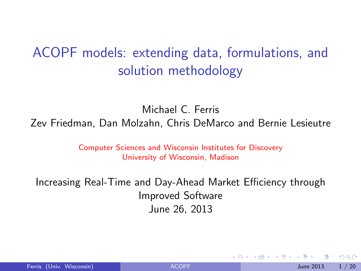# ACOPF models: extending data, formulations, and solution methodology

Michael C. Ferris

Zev Friedman, Dan Molzahn, Chris DeMarco and Bernie Lesieutre

Computer Sciences and Wisconsin Institutes for Discovery University of Wisconsin, Madison

Increasing Real-Time and Day-Ahead Market Efficiency through Improved Software June 26, 2013

<span id="page-0-0"></span> $QQQ$ 

4 로 ) - 4 로

4 0 8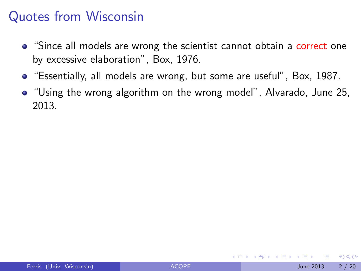### Quotes from Wisconsin

- "Since all models are wrong the scientist cannot obtain a correct one by excessive elaboration", Box, 1976.
- "Essentially, all models are wrong, but some are useful", Box, 1987.
- "Using the wrong algorithm on the wrong model", Alvarado, June 25, 2013.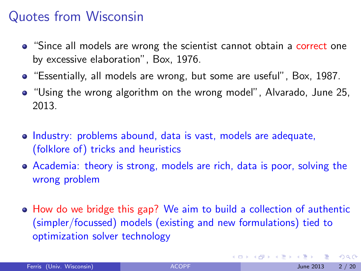### Quotes from Wisconsin

- "Since all models are wrong the scientist cannot obtain a correct one by excessive elaboration", Box, 1976.
- "Essentially, all models are wrong, but some are useful", Box, 1987.
- "Using the wrong algorithm on the wrong model", Alvarado, June 25, 2013.
- Industry: problems abound, data is vast, models are adequate, (folklore of) tricks and heuristics
- Academia: theory is strong, models are rich, data is poor, solving the wrong problem
- How do we bridge this gap? We aim to build a collection of authentic (simpler/focussed) models (existing and new formulations) tied to optimization solver technology

 $QQ$ 

 $\left\{ \begin{array}{ccc} 1 & 0 & 0 \\ 0 & 1 & 0 \end{array} \right.$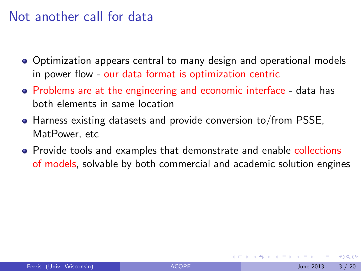#### Not another call for data

- Optimization appears central to many design and operational models in power flow - our data format is optimization centric
- Problems are at the engineering and economic interface data has both elements in same location
- Harness existing datasets and provide conversion to/from PSSE, MatPower, etc
- Provide tools and examples that demonstrate and enable collections of models, solvable by both commercial and academic solution engines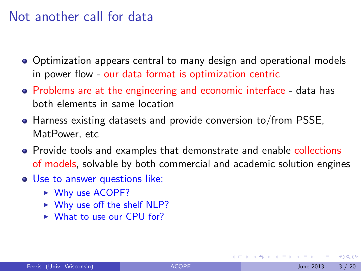#### Not another call for data

- Optimization appears central to many design and operational models in power flow - our data format is optimization centric
- Problems are at the engineering and economic interface data has both elements in same location
- Harness existing datasets and provide conversion to/from PSSE, MatPower, etc
- Provide tools and examples that demonstrate and enable collections of models, solvable by both commercial and academic solution engines
- Use to answer questions like:
	- $\triangleright$  Why use ACOPF?
	- $\triangleright$  Why use off the shelf NLP?
	- $\triangleright$  What to use our CPU for?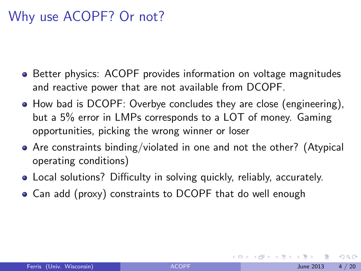# Why use ACOPF? Or not?

- **•** Better physics: ACOPF provides information on voltage magnitudes and reactive power that are not available from DCOPF.
- How bad is DCOPF: Overbye concludes they are close (engineering), but a 5% error in LMPs corresponds to a LOT of money. Gaming opportunities, picking the wrong winner or loser
- Are constraints binding/violated in one and not the other? (Atypical operating conditions)
- Local solutions? Difficulty in solving quickly, reliably, accurately.
- Can add (proxy) constraints to DCOPF that do well enough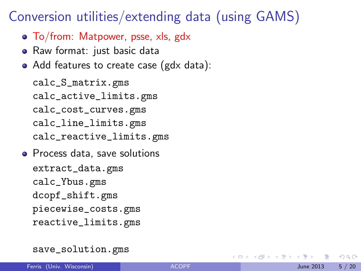#### Conversion utilities/extending data (using GAMS)

- To/from: Matpower, psse, xls, gdx
- Raw format: just basic data
- Add features to create case (gdx data):

calc\_S\_matrix.gms calc\_active\_limits.gms calc\_cost\_curves.gms calc\_line\_limits.gms calc\_reactive\_limits.gms

• Process data, save solutions extract\_data.gms calc\_Ybus.gms dcopf\_shift.gms piecewise\_costs.gms reactive\_limits.gms

**4 ロト 4 何 ト** 

14 E X 4 E

 $QQQ$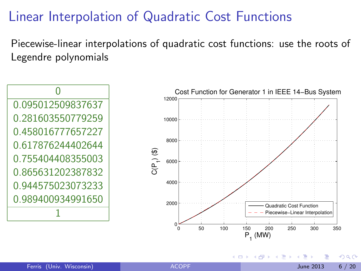# Linear Interpolation of Quadratic Cost Functions

Piecewise-linear interpolations of quadratic cost functions: use the roots of Legendre polynomials

 $\Omega$ 0.095012509837637 0.281603550779259 0.458016777657227 0.617876244402644 0.755404408355003 0.865631202387832 0.944575023073233 0.989400934991650 1



4 D F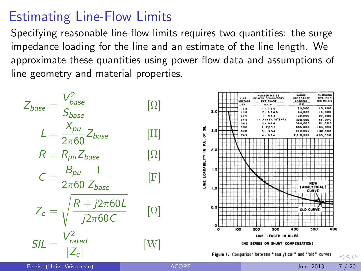# Estimating Line-Flow Limits

Specifying reasonable line-flow limits requires two quantities: the surge impedance loading for the line and an estimate of the line length. We approximate these quantities using power flow data and assumptions of line geometry and material properties.

<span id="page-8-0"></span>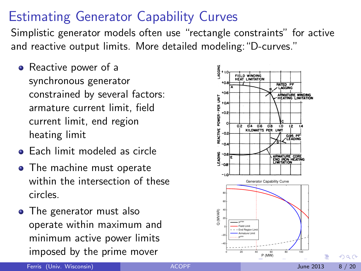# Estimating Generator Capability Curves

Simplistic generator models often use "rectangle constraints" for active and reactive output limits. More detailed modeling:"D-curves."

- Reactive power of a synchronous generator constrained by several factors: armature current limit, field current limit, end region heating limit
- **Each limit modeled as circle**
- The machine must operate within the intersection of these circles.
- The generator must also operate within maximum and minimum active power limits imposed by the prime mover



<span id="page-9-0"></span>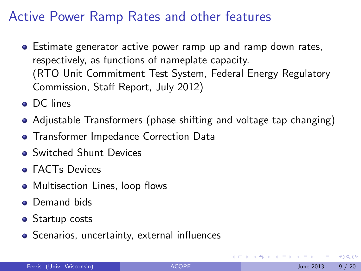# Active Power Ramp Rates and other features

- **E** Estimate generator active power ramp up and ramp down rates, respectively, as functions of nameplate capacity. (RTO Unit Commitment Test System, Federal Energy Regulatory Commission, Staff Report, July 2012)
- DC lines
- Adjustable Transformers (phase shifting and voltage tap changing)
- **Transformer Impedance Correction Data**
- **o** Switched Shunt Devices
- **FACTs Devices**
- Multisection Lines, loop flows
- Demand bids
- Startup costs
- <span id="page-10-0"></span>• Scenarios, uncertainty, external influences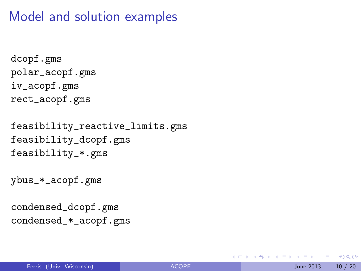#### Model and solution examples

```
dcopf.gms
polar_acopf.gms
iv_acopf.gms
rect_acopf.gms
```

```
feasibility_reactive_limits.gms
feasibility_dcopf.gms
feasibility_*.gms
```

```
ybus_*_acopf.gms
```

```
condensed_dcopf.gms
condensed_*_acopf.gms
```
 $QQQ$ 

イロト イ押ト イヨト イヨト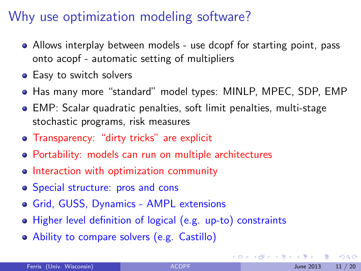## Why use optimization modeling software?

- Allows interplay between models use dcopf for starting point, pass onto acopf - automatic setting of multipliers
- Easy to switch solvers
- Has many more "standard" model types: MINLP, MPEC, SDP, EMP
- EMP: Scalar quadratic penalties, soft limit penalties, multi-stage stochastic programs, risk measures
- Transparency: "dirty tricks" are explicit
- Portability: models can run on multiple architectures
- Interaction with optimization community
- Special structure: pros and cons
- Grid, GUSS, Dynamics AMPL extensions
- Higher level definition of logical (e.g. up-to) constraints
- Ability to compare solvers (e.g. Castillo)

<span id="page-12-0"></span> $QQ$ 

 $-4.25 + 4.$ 

◂**◻▸ ◂<del>⁄</del>** ▸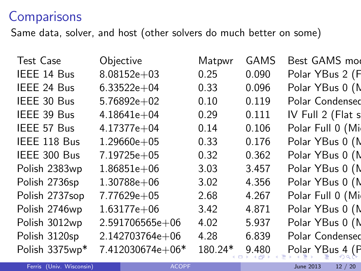### **Comparisons**

Same data, solver, and host (other solvers do much better on some)

<span id="page-13-0"></span>

| Objective        | Matpwr  | <b>GAMS</b> | Best GAMS mod     |
|------------------|---------|-------------|-------------------|
| $8.08152e + 03$  | 0.25    | 0.090       | Polar YBus 2 (F   |
| $6.33522e + 04$  | 0.33    | 0.096       | Polar YBus 0 (N   |
| $5.76892e+02$    | 0.10    | 0.119       | Polar Condensed   |
| $4.18641e + 04$  | 0.29    | 0.111       | IV Full 2 (Flat s |
| $4.17377e + 04$  | 0.14    | 0.106       | Polar Full 0 (Mi  |
| $1.29660e + 05$  | 0.33    | 0.176       | Polar YBus 0 (N   |
| 7.19725e+05      | 0.32    | 0.362       | Polar YBus 0 (N   |
| $1.86851e+06$    | 3.03    | 3.457       | Polar YBus 0 (N   |
| $1.30788e + 06$  | 3.02    | 4.356       | Polar YBus 0 (N   |
| 7.77629e+05      | 2.68    | 4.267       | Polar Full 0 (Mi  |
| 1.63177e+06      | 3.42    | 4.871       | Polar YBus 0 (N   |
| 2.591706565e+06  | 4.02    | 5.937       | Polar YBus 0 (N   |
| 2.142703764e+06  | 4.28    | 6.839       | Polar Condensed   |
| 7.412030674e+06* | 180.24* | 9.480       | Polar YBus 4 (P   |
|                  |         |             |                   |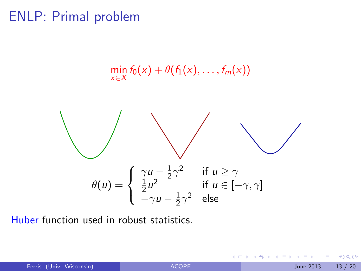#### ENLP: Primal problem



<span id="page-14-0"></span>Huber function used in robust statistics.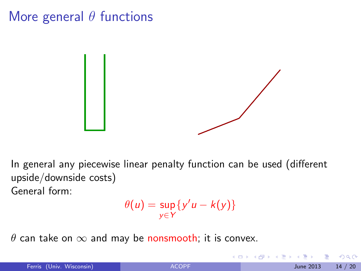## More general  $\theta$  functions



In general any piecewise linear penalty function can be used (different upside/downside costs) General form:

$$
\theta(u) = \sup_{y \in Y} \{y'u - k(y)\}
$$

 $\theta$  can take on  $\infty$  and may be nonsmooth; it is convex.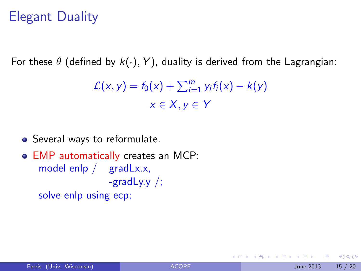# Elegant Duality

For these  $\theta$  (defined by  $k(.)$ ,  $Y$ ), duality is derived from the Lagrangian:

$$
\mathcal{L}(x, y) = f_0(x) + \sum_{i=1}^{m} y_i f_i(x) - k(y)
$$

$$
x \in X, y \in Y
$$

- Several ways to reformulate.
- EMP automatically creates an MCP: model enlp / gradLx.x, -gradLy.y  $\frac{1}{2}$ ; solve enlp using ecp;

<span id="page-16-0"></span>4 0 8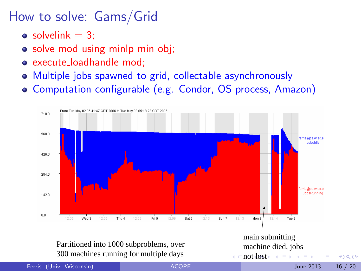# How to solve: Gams/Grid

- solvelink  $= 3$ :
- solve mod using minlp min obj;
- o execute loadhandle mod:
- Multiple jobs spawned to grid, collectable asynchronously
- Computation configurable (e.g. Condor, OS process, Amazon)

<span id="page-17-0"></span>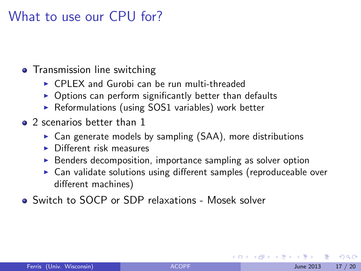#### What to use our CPU for?

#### • Transmission line switching

- $\triangleright$  CPLEX and Gurobi can be run multi-threaded
- $\triangleright$  Options can perform significantly better than defaults
- $\triangleright$  Reformulations (using SOS1 variables) work better
- 2 scenarios better than 1
	- $\triangleright$  Can generate models by sampling (SAA), more distributions
	- $\triangleright$  Different risk measures
	- $\triangleright$  Benders decomposition, importance sampling as solver option
	- $\triangleright$  Can validate solutions using different samples (reproduceable over different machines)
- <span id="page-18-0"></span>Switch to SOCP or SDP relaxations - Mosek solver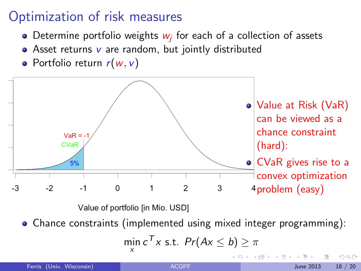# Optimization of risk measures

- Determine portfolio weights  $w_j$  for each of a collection of assets
- Asset returns  $v$  are random, but jointly distributed
- Portfolio return  $r(w, v)$



4 D F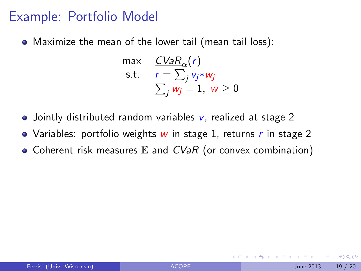#### Example: Portfolio Model

Maximize the mean of the lower tail (mean tail loss):

$$
\begin{array}{ll}\n\max & \frac{CVaR_{\alpha}(r)}{r} \\
\text{s.t.} & r = \sum_{j} v_{j} * w_{j} \\
& \sum_{j} w_{j} = 1, \ w \ge 0\n\end{array}
$$

- Jointly distributed random variables  $v$ , realized at stage 2
- Variables: portfolio weights  $w$  in stage 1, returns  $r$  in stage 2
- Coherent risk measures  $E$  and  $CVaR$  (or convex combination)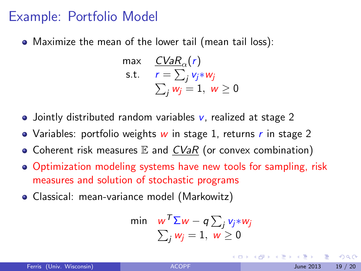#### Example: Portfolio Model

Maximize the mean of the lower tail (mean tail loss):

$$
\begin{array}{ll}\n\max & \frac{CVaR_{\alpha}(r)}{r} \\
\text{s.t.} & r = \sum_{j} v_{j} * w_{j} \\
\sum_{j} w_{j} = 1, \ w \ge 0\n\end{array}
$$

- Jointly distributed random variables  $v$ , realized at stage 2
- Variables: portfolio weights  $w$  in stage 1, returns  $r$  in stage 2
- Coherent risk measures  $E$  and  $CVaR$  (or convex combination)
- Optimization modeling systems have new tools for sampling, risk measures and solution of stochastic programs
- Classical: mean-variance model (Markowitz)

$$
\begin{array}{ll}\n\min & w^{\mathcal{T}} \Sigma w - q \sum_j v_j * w_j \\
\sum_j w_j = 1, \ w \geq 0\n\end{array}
$$